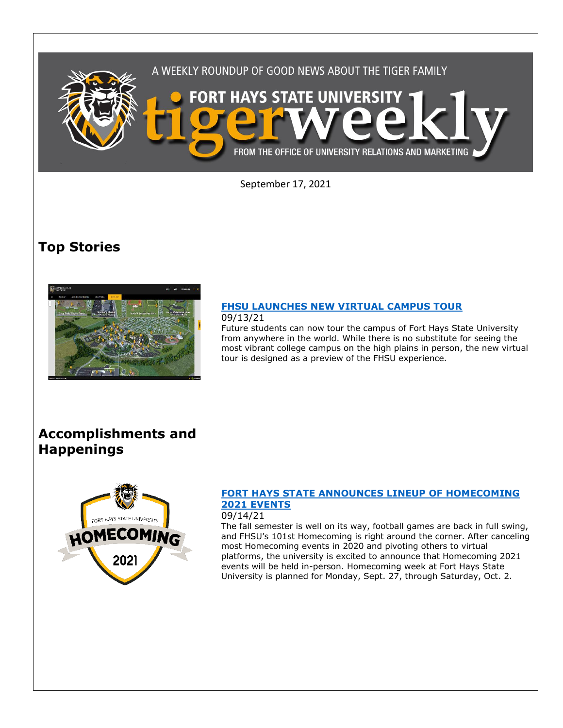

September 17, 2021

# **Top Stories**



#### **[FHSU LAUNCHES NEW VIRTUAL CAMPUS TOUR](https://www.fhsu.edu/news/2021/09/fhsu-launches-new-virtual-campus-tour)** 09/13/21

Future students can now tour the campus of Fort Hays State University from anywhere in the world. While there is no substitute for seeing the most vibrant college campus on the high plains in person, the new virtual tour is designed as a preview of the FHSU experience.

## **Accomplishments and Happenings**



## **[FORT HAYS STATE ANNOUNCES LINEUP OF HOMECOMING](https://www.fhsu.edu/news/2021/09/fort-hays-state-announces-lineup-of-homecoming-2021-events)  [2021 EVENTS](https://www.fhsu.edu/news/2021/09/fort-hays-state-announces-lineup-of-homecoming-2021-events)**

## 09/14/21

The fall semester is well on its way, football games are back in full swing, and FHSU's 101st Homecoming is right around the corner. After canceling most Homecoming events in 2020 and pivoting others to virtual platforms, the university is excited to announce that Homecoming 2021 events will be held in-person. Homecoming week at Fort Hays State University is planned for Monday, Sept. 27, through Saturday, Oct. 2.